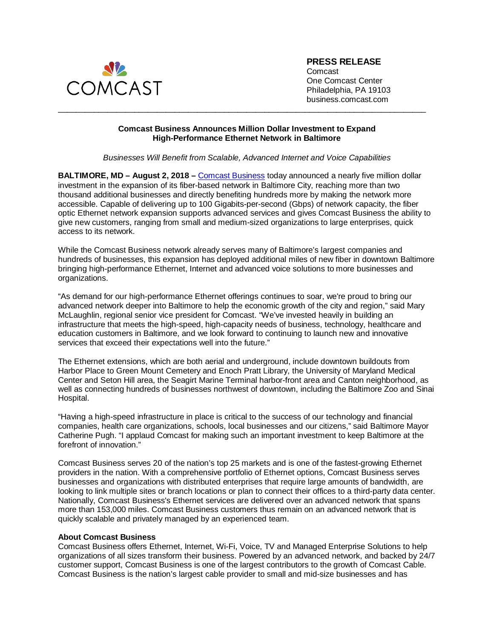

**PRESS RELEASE**

Comcast One Comcast Center Philadelphia, PA 19103 business.comcast.com

## **Comcast Business Announces Million Dollar Investment to Expand High-Performance Ethernet Network in Baltimore**

\_\_\_\_\_\_\_\_\_\_\_\_\_\_\_\_\_\_\_\_\_\_\_\_\_\_\_\_\_\_\_\_\_\_\_\_\_\_\_\_\_\_\_\_\_\_\_\_\_\_\_\_\_\_\_\_\_\_\_\_\_\_\_\_\_\_\_\_\_\_\_\_\_\_\_\_\_\_\_\_\_\_

## *Businesses Will Benefit from Scalable, Advanced Internet and Voice Capabilities*

**BALTIMORE, MD – August 2, 2018 –** [Comcast Business](http://business.comcast.com/) today announced a nearly five million dollar investment in the expansion of its fiber-based network in Baltimore City, reaching more than two thousand additional businesses and directly benefiting hundreds more by making the network more accessible. Capable of delivering up to 100 Gigabits-per-second (Gbps) of network capacity, the fiber optic Ethernet network expansion supports advanced services and gives Comcast Business the ability to give new customers, ranging from small and medium-sized organizations to large enterprises, quick access to its network.

While the Comcast Business network already serves many of Baltimore's largest companies and hundreds of businesses, this expansion has deployed additional miles of new fiber in downtown Baltimore bringing high-performance Ethernet, Internet and advanced voice solutions to more businesses and organizations.

"As demand for our high-performance Ethernet offerings continues to soar, we're proud to bring our advanced network deeper into Baltimore to help the economic growth of the city and region," said Mary McLaughlin, regional senior vice president for Comcast. "We've invested heavily in building an infrastructure that meets the high-speed, high-capacity needs of business, technology, healthcare and education customers in Baltimore, and we look forward to continuing to launch new and innovative services that exceed their expectations well into the future."

The Ethernet extensions, which are both aerial and underground, include downtown buildouts from Harbor Place to Green Mount Cemetery and Enoch Pratt Library, the University of Maryland Medical Center and Seton Hill area, the Seagirt Marine Terminal harbor-front area and Canton neighborhood, as well as connecting hundreds of businesses northwest of downtown, including the Baltimore Zoo and Sinai Hospital.

"Having a high-speed infrastructure in place is critical to the success of our technology and financial companies, health care organizations, schools, local businesses and our citizens," said Baltimore Mayor Catherine Pugh. "I applaud Comcast for making such an important investment to keep Baltimore at the forefront of innovation."

Comcast Business serves 20 of the nation's top 25 markets and is one of the fastest-growing Ethernet providers in the nation. With a comprehensive portfolio of Ethernet options, Comcast Business serves businesses and organizations with distributed enterprises that require large amounts of bandwidth, are looking to link multiple sites or branch locations or plan to connect their offices to a third-party data center. Nationally, Comcast Business's Ethernet services are delivered over an advanced network that spans more than 153,000 miles. Comcast Business customers thus remain on an advanced network that is quickly scalable and privately managed by an experienced team.

## **About Comcast Business**

Comcast Business offers Ethernet, Internet, Wi-Fi, Voice, TV and Managed Enterprise Solutions to help organizations of all sizes transform their business. Powered by an advanced network, and backed by 24/7 customer support, Comcast Business is one of the largest contributors to the growth of Comcast Cable. Comcast Business is the nation's largest cable provider to small and mid-size businesses and has